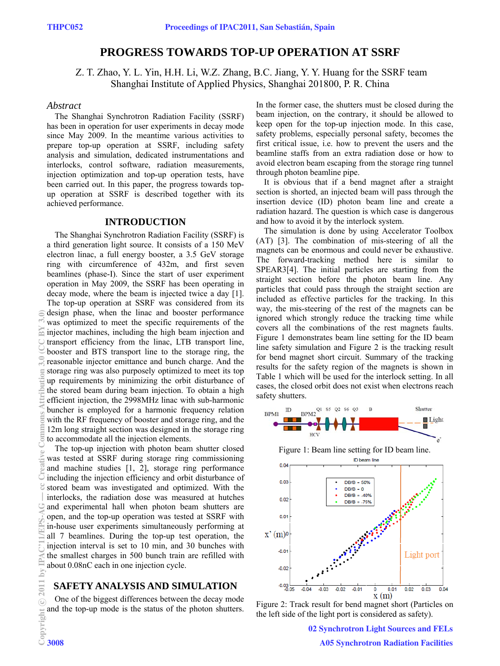# **PROGRESS TOWARDS TOP-UP OPERATION AT SSRF**

 Z. T. Zhao, Y. L. Yin, H.H. Li, W.Z. Zhang, B.C. Jiang, Y. Y. Huang for the SSRF team Shanghai Institute of Applied Physics, Shanghai 201800, P. R. China

#### *Abstract*

The Shanghai Synchrotron Radiation Facility (SSRF) has been in operation for user experiments in decay mode since May 2009. In the meantime various activities to prepare top-up operation at SSRF, including safety analysis and simulation, dedicated instrumentations and interlocks, control software, radiation measurements, injection optimization and top-up operation tests, have been carried out. In this paper, the progress towards topup operation at SSRF is described together with its achieved performance.

### **INTRODUCTION**

The Shanghai Synchrotron Radiation Facility (SSRF) is a third generation light source. It consists of a 150 MeV electron linac, a full energy booster, a 3.5 GeV storage ring with circumference of 432m, and first seven beamlines (phase-I). Since the start of user experiment operation in May 2009, the SSRF has been operating in decay mode, where the beam is injected twice a day [1]. The top-up operation at SSRF was considered from its design phase, when the linac and booster performance was optimized to meet the specific requirements of the injector machines, including the high beam injection and transport efficiency from the linac, LTB transport line, booster and BTS transport line to the storage ring, the reasonable injector emittance and bunch charge. And the storage ring was also purposely optimized to meet its top up requirements by minimizing the orbit disturbance of the stored beam during beam injection. To obtain a high efficient injection, the 2998MHz linac with sub-harmonic buncher is employed for a harmonic frequency relation with the RF frequency of booster and storage ring, and the 12m long straight section was designed in the storage ring to accommodate all the injection elements.

The top-up injection with photon beam shutter closed was tested at SSRF during storage ring commissioning and machine studies [1, 2], storage ring performance including the injection efficiency and orbit disturbance of stored beam was investigated and optimized. With the interlocks, the radiation dose was measured at hutches and experimental hall when photon beam shutters are open, and the top-up operation was tested at SSRF with in-house user experiments simultaneously performing at all 7 beamlines. During the top-up test operation, the injection interval is set to 10 min, and 30 bunches with the smallest charges in 500 bunch train are refilled with about 0.08nC each in one injection cycle.

#### **SAFETY ANALYSIS AND SIMULATION**

One of the biggest differences between the decay mode and the top-up mode is the status of the photon shutters. In the former case, the shutters must be closed during the beam injection, on the contrary, it should be allowed to keep open for the top-up injection mode. In this case, safety problems, especially personal safety, becomes the first critical issue, i.e. how to prevent the users and the beamline staffs from an extra radiation dose or how to avoid electron beam escaping from the storage ring tunnel through photon beamline pipe.

It is obvious that if a bend magnet after a straight section is shorted, an injected beam will pass through the insertion device (ID) photon beam line and create a radiation hazard. The question is which case is dangerous and how to avoid it by the interlock system.

The simulation is done by using Accelerator Toolbox (AT) [3]. The combination of mis-steering of all the magnets can be enormous and could never be exhaustive. The forward-tracking method here is similar to SPEAR3[4]. The initial particles are starting from the straight section before the photon beam line. Any particles that could pass through the straight section are included as effective particles for the tracking. In this way, the mis-steering of the rest of the magnets can be ignored which strongly reduce the tracking time while covers all the combinations of the rest magnets faults. Figure 1 demonstrates beam line setting for the ID beam line safety simulation and Figure 2 is the tracking result for bend magnet short circuit. Summary of the tracking results for the safety region of the magnets is shown in Table 1 which will be used for the interlock setting. In all cases, the closed orbit does not exist when electrons reach safety shutters.



Figure 1: Beam line setting for ID beam line.



Figure 2: Track result for bend magnet short (Particles on the left side of the light port is considered as safety).

02 Synchrotron Light Sources and FELs A05 Synchrotron Radiation Facilities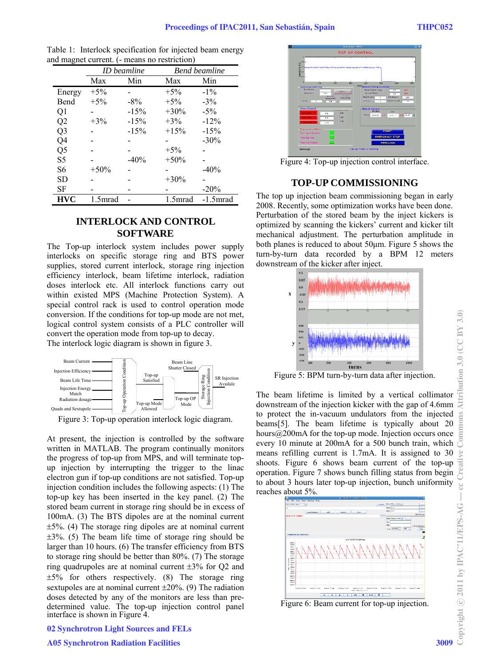|                | <b>ID</b> beamline |        | <b>Bend beamline</b> |             |
|----------------|--------------------|--------|----------------------|-------------|
|                | Max                | Min    | Max                  | Min         |
| Energy         | $+5\%$             |        | $+5%$                | $-1\%$      |
| Bend           | $+5%$              | $-8\%$ | $+5\%$               | $-3\%$      |
| Q1             |                    | $-15%$ | $+30\%$              | $-5\%$      |
| Q2             | $+3\%$             | $-15%$ | $+3%$                | $-12%$      |
| Q <sub>3</sub> |                    | $-15%$ | $+15%$               | $-15%$      |
| Q4             |                    |        |                      | $-30\%$     |
| Q5             |                    |        | $+5\%$               |             |
| S <sub>5</sub> |                    | $-40%$ | $+50\%$              |             |
| S6             | $+50%$             |        |                      | $-40%$      |
| <b>SD</b>      |                    |        | $+30\%$              |             |
| SF             |                    |        |                      | $-20%$      |
| <b>HVC</b>     | 1.5mrad            |        | 1.5mrad              | $-1.5$ mrad |

Table 1: Interlock specification for injected beam energy and magnet current. (- means no restriction)

## **INTERLOCK AND CONTROL SOFTWARE**

The Top-up interlock system includes power supply interlocks on specific storage ring and BTS power supplies, stored current interlock, storage ring injection efficiency interlock, beam lifetime interlock, radiation doses interlock etc. All interlock functions carry out within existed MPS (Machine Protection System). A special control rack is used to control operation mode conversion. If the conditions for top-up mode are not met, logical control system consists of a PLC controller will convert the operation mode from top-up to decay. The interlock logic diagram is shown in figure 3.



Figure 3: Top-up operation interlock logic diagram.

At present, the injection is controlled by the software written in MATLAB. The program continually monitors the progress of top-up from MPS, and will terminate topup injection by interrupting the trigger to the linac electron gun if top-up conditions are not satisfied. Top-up injection condition includes the following aspects: (1) The top-up key has been inserted in the key panel. (2) The stored beam current in storage ring should be in excess of 100mA. (3) The BTS dipoles are at the nominal current  $\pm 5\%$ . (4) The storage ring dipoles are at nominal current  $\pm 3\%$ . (5) The beam life time of storage ring should be larger than 10 hours. (6) The transfer efficiency from BTS to storage ring should be better than 80%. (7) The storage ring quadrupoles are at nominal current  $\pm 3\%$  for Q2 and  $\pm 5\%$  for others respectively. (8) The storage ring sextupoles are at nominal current  $\pm 20\%$ . (9) The radiation doses detected by any of the monitors are less than predetermined value. The top-up injection control panel interface is shown in Figure 4.



Figure 4: Top-up injection control interface.

# **TOP-UP COMMISSIONING**

The top up injection beam commissioning began in early 2008. Recently, some optimization works have been done. Perturbation of the stored beam by the inject kickers is optimized by scanning the kickers' current and kicker tilt mechanical adjustment. The perturbation amplitude in both planes is reduced to about 50μm. Figure 5 shows the turn-by-turn data recorded by a BPM 12 meters downstream of the kicker after inject.



Figure 5: BPM turn-by-turn data after injection.

The beam lifetime is limited by a vertical collimator downstream of the injection kicker with the gap of 4.6mm to protect the in-vacuum undulators from the injected beams[5]. The beam lifetime is typically about 20 hours@200mA for the top-up mode. Injection occurs once every 10 minute at 200mA for a 500 bunch train, which means refilling current is 1.7mA. It is assigned to 30 shoots. Figure 6 shows beam current of the top-up operation. Figure 7 shows bunch filling status from begin to about 3 hours later top-up injection, bunch uniformity reaches about 5%.



Figure 6: Beam current for top-up injection.

## 02 Synchrotron Light Sources and FELs

#### A05 Synchrotron Radiation Facilities 3009